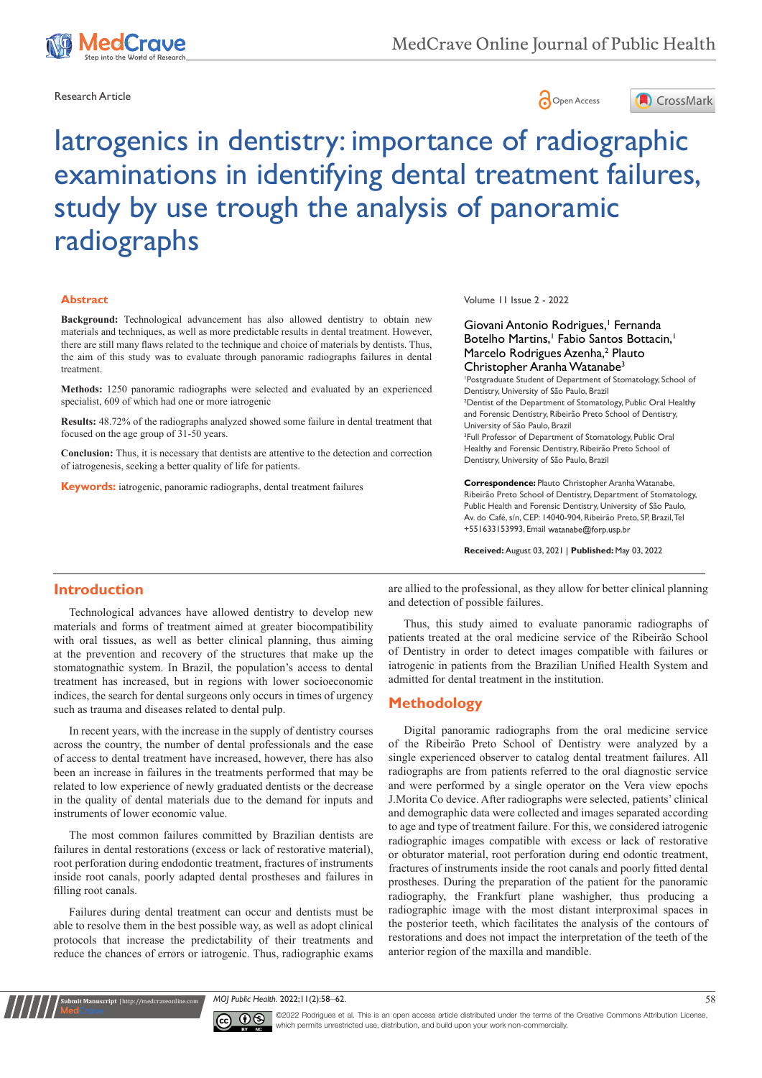





# Iatrogenics in dentistry: importance of radiographic examinations in identifying dental treatment failures, study by use trough the analysis of panoramic radiographs

#### **Abstract**

**Background:** Technological advancement has also allowed dentistry to obtain new materials and techniques, as well as more predictable results in dental treatment. However, there are still many flaws related to the technique and choice of materials by dentists. Thus, the aim of this study was to evaluate through panoramic radiographs failures in dental treatment.

**Methods:** 1250 panoramic radiographs were selected and evaluated by an experienced specialist, 609 of which had one or more iatrogenic

**Results:** 48.72% of the radiographs analyzed showed some failure in dental treatment that focused on the age group of 31-50 years.

**Conclusion:** Thus, it is necessary that dentists are attentive to the detection and correction of iatrogenesis, seeking a better quality of life for patients.

**Keywords:** iatrogenic, panoramic radiographs, dental treatment failures

Volume 11 Issue 2 - 2022

Giovani Antonio Rodrigues,<sup>1</sup> Fernanda Botelho Martins,<sup>1</sup> Fabio Santos Bottacin,<sup>1</sup> Marcelo Rodrigues Azenha,<sup>2</sup> Plauto Christopher Aranha Watanabe<sup>3</sup>

1 Postgraduate Student of Department of Stomatology, School of Dentistry, University of São Paulo, Brazil <sup>2</sup> Dentist of the Department of Stomatology, Public Oral Healthy and Forensic Dentistry, Ribeirão Preto School of Dentistry, University of São Paulo, Brazil <sup>3</sup>Full Professor of Department of Stomatology, Public Oral

Healthy and Forensic Dentistry, Ribeirão Preto School of Dentistry, University of São Paulo, Brazil

**Correspondence:** Plauto Christopher Aranha Watanabe, Ribeirão Preto School of Dentistry, Department of Stomatology, Public Health and Forensic Dentistry, University of São Paulo, Av. do Café, s/n, CEP: 14040-904, Ribeirão Preto, SP, Brazil, Tel +551633153993. Email watanabe@forp.usp.br

**Received:** August 03, 2021 | **Published:** May 03, 2022

#### **Introduction**

Technological advances have allowed dentistry to develop new materials and forms of treatment aimed at greater biocompatibility with oral tissues, as well as better clinical planning, thus aiming at the prevention and recovery of the structures that make up the stomatognathic system. In Brazil, the population's access to dental treatment has increased, but in regions with lower socioeconomic indices, the search for dental surgeons only occurs in times of urgency such as trauma and diseases related to dental pulp.

In recent years, with the increase in the supply of dentistry courses across the country, the number of dental professionals and the ease of access to dental treatment have increased, however, there has also been an increase in failures in the treatments performed that may be related to low experience of newly graduated dentists or the decrease in the quality of dental materials due to the demand for inputs and instruments of lower economic value.

The most common failures committed by Brazilian dentists are failures in dental restorations (excess or lack of restorative material), root perforation during endodontic treatment, fractures of instruments inside root canals, poorly adapted dental prostheses and failures in filling root canals.

Failures during dental treatment can occur and dentists must be able to resolve them in the best possible way, as well as adopt clinical protocols that increase the predictability of their treatments and reduce the chances of errors or iatrogenic. Thus, radiographic exams

**it Manuscript** | http://medcraveonline.c

are allied to the professional, as they allow for better clinical planning and detection of possible failures.

Thus, this study aimed to evaluate panoramic radiographs of patients treated at the oral medicine service of the Ribeirão School of Dentistry in order to detect images compatible with failures or iatrogenic in patients from the Brazilian Unified Health System and admitted for dental treatment in the institution.

#### **Methodology**

Digital panoramic radiographs from the oral medicine service of the Ribeirão Preto School of Dentistry were analyzed by a single experienced observer to catalog dental treatment failures. All radiographs are from patients referred to the oral diagnostic service and were performed by a single operator on the Vera view epochs J.Morita Co device. After radiographs were selected, patients' clinical and demographic data were collected and images separated according to age and type of treatment failure. For this, we considered iatrogenic radiographic images compatible with excess or lack of restorative or obturator material, root perforation during end odontic treatment, fractures of instruments inside the root canals and poorly fitted dental prostheses. During the preparation of the patient for the panoramic radiography, the Frankfurt plane washigher, thus producing a radiographic image with the most distant interproximal spaces in the posterior teeth, which facilitates the analysis of the contours of restorations and does not impact the interpretation of the teeth of the anterior region of the maxilla and mandible.

*MOJ Public Health.* 2022;11(2):58‒62. 58



©2022 Rodrigues et al. This is an open access article distributed under the terms of the Creative Commons Attribution License, which permits unrestricted use, distribution, and build upon your work non-commercially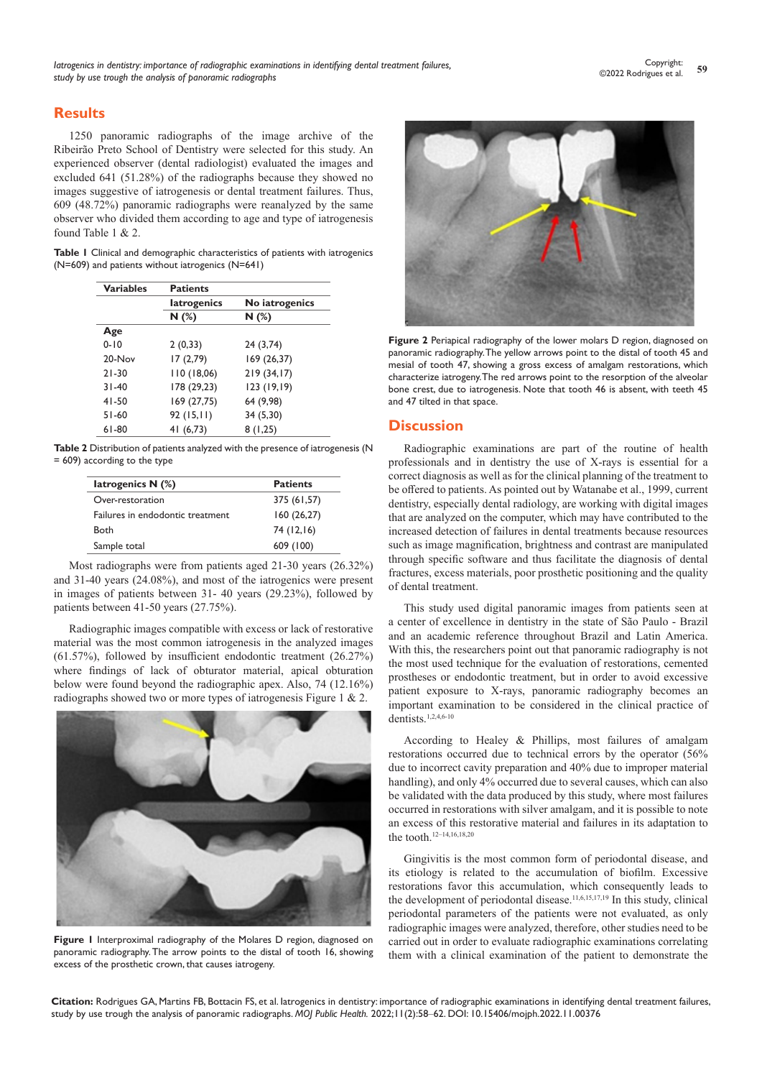## **Results**

1250 panoramic radiographs of the image archive of the Ribeirão Preto School of Dentistry were selected for this study. An experienced observer (dental radiologist) evaluated the images and excluded 641 (51.28%) of the radiographs because they showed no images suggestive of iatrogenesis or dental treatment failures. Thus, 609 (48.72%) panoramic radiographs were reanalyzed by the same observer who divided them according to age and type of iatrogenesis found Table 1 & 2.

|  |  |                                                  |  |  | <b>Table I</b> Clinical and demographic characteristics of patients with iatrogenics |  |
|--|--|--------------------------------------------------|--|--|--------------------------------------------------------------------------------------|--|
|  |  | (N=609) and patients without iatrogenics (N=641) |  |  |                                                                                      |  |

| <b>Variables</b> | <b>Patients</b>    |                |  |  |  |  |
|------------------|--------------------|----------------|--|--|--|--|
|                  | <b>latrogenics</b> | No iatrogenics |  |  |  |  |
|                  | N(%)               | N(%)           |  |  |  |  |
| Age              |                    |                |  |  |  |  |
| $0 - 10$         | 2(0,33)            | 24 (3,74)      |  |  |  |  |
| 20-Nov           | 17(2,79)           | 169 (26,37)    |  |  |  |  |
| $21 - 30$        | 110(18,06)         | 219(34,17)     |  |  |  |  |
| $31 - 40$        | 178 (29,23)        | 123 (19,19)    |  |  |  |  |
| $41 - 50$        | 169 (27,75)        | 64 (9,98)      |  |  |  |  |
| $51-60$          | 92(15,11)          | 34 (5,30)      |  |  |  |  |
| $61-80$          | 41 (6,73)          | 8(1,25)        |  |  |  |  |

**Table 2** Distribution of patients analyzed with the presence of iatrogenesis (N = 609) according to the type

| latrogenics $N$ (%)              | <b>Patients</b> |  |  |  |
|----------------------------------|-----------------|--|--|--|
| Over-restoration                 | 375 (61,57)     |  |  |  |
| Failures in endodontic treatment | 160(26,27)      |  |  |  |
| Both                             | 74 (12,16)      |  |  |  |
| Sample total                     | 609 (100)       |  |  |  |

Most radiographs were from patients aged 21-30 years (26.32%) and 31-40 years (24.08%), and most of the iatrogenics were present in images of patients between 31- 40 years (29.23%), followed by patients between 41-50 years (27.75%).

Radiographic images compatible with excess or lack of restorative material was the most common iatrogenesis in the analyzed images (61.57%), followed by insufficient endodontic treatment (26.27%) where findings of lack of obturator material, apical obturation below were found beyond the radiographic apex. Also, 74 (12.16%) radiographs showed two or more types of iatrogenesis Figure 1 & 2.



**Figure 1** Interproximal radiography of the Molares D region, diagnosed on panoramic radiography. The arrow points to the distal of tooth 16, showing excess of the prosthetic crown, that causes iatrogeny.



**Figure 2** Periapical radiography of the lower molars D region, diagnosed on panoramic radiography. The yellow arrows point to the distal of tooth 45 and mesial of tooth 47, showing a gross excess of amalgam restorations, which characterize iatrogeny. The red arrows point to the resorption of the alveolar bone crest, due to iatrogenesis. Note that tooth 46 is absent, with teeth 45 and 47 tilted in that space.

## **Discussion**

Radiographic examinations are part of the routine of health professionals and in dentistry the use of X-rays is essential for a correct diagnosis as well as for the clinical planning of the treatment to be offered to patients. As pointed out by Watanabe et al., 1999, current dentistry, especially dental radiology, are working with digital images that are analyzed on the computer, which may have contributed to the increased detection of failures in dental treatments because resources such as image magnification, brightness and contrast are manipulated through specific software and thus facilitate the diagnosis of dental fractures, excess materials, poor prosthetic positioning and the quality of dental treatment.

This study used digital panoramic images from patients seen at a center of excellence in dentistry in the state of São Paulo - Brazil and an academic reference throughout Brazil and Latin America. With this, the researchers point out that panoramic radiography is not the most used technique for the evaluation of restorations, cemented prostheses or endodontic treatment, but in order to avoid excessive patient exposure to X-rays, panoramic radiography becomes an important examination to be considered in the clinical practice of dentists.1,2,4,6-10

According to Healey & Phillips, most failures of amalgam restorations occurred due to technical errors by the operator (56% due to incorrect cavity preparation and 40% due to improper material handling), and only 4% occurred due to several causes, which can also be validated with the data produced by this study, where most failures occurred in restorations with silver amalgam, and it is possible to note an excess of this restorative material and failures in its adaptation to the tooth.12–14,16,18,20

Gingivitis is the most common form of periodontal disease, and its etiology is related to the accumulation of biofilm. Excessive restorations favor this accumulation, which consequently leads to the development of periodontal disease.<sup>11,6,15,17,19</sup> In this study, clinical periodontal parameters of the patients were not evaluated, as only radiographic images were analyzed, therefore, other studies need to be carried out in order to evaluate radiographic examinations correlating them with a clinical examination of the patient to demonstrate the

**Citation:** Rodrigues GA, Martins FB, Bottacin FS, et al. Iatrogenics in dentistry: importance of radiographic examinations in identifying dental treatment failures, study by use trough the analysis of panoramic radiographs. *MOJ Public Health.* 2022;11(2):58‒62. DOI: [10.15406/mojph.2022.11.00376](https://doi.org/10.15406/mojph.2022.11.00376)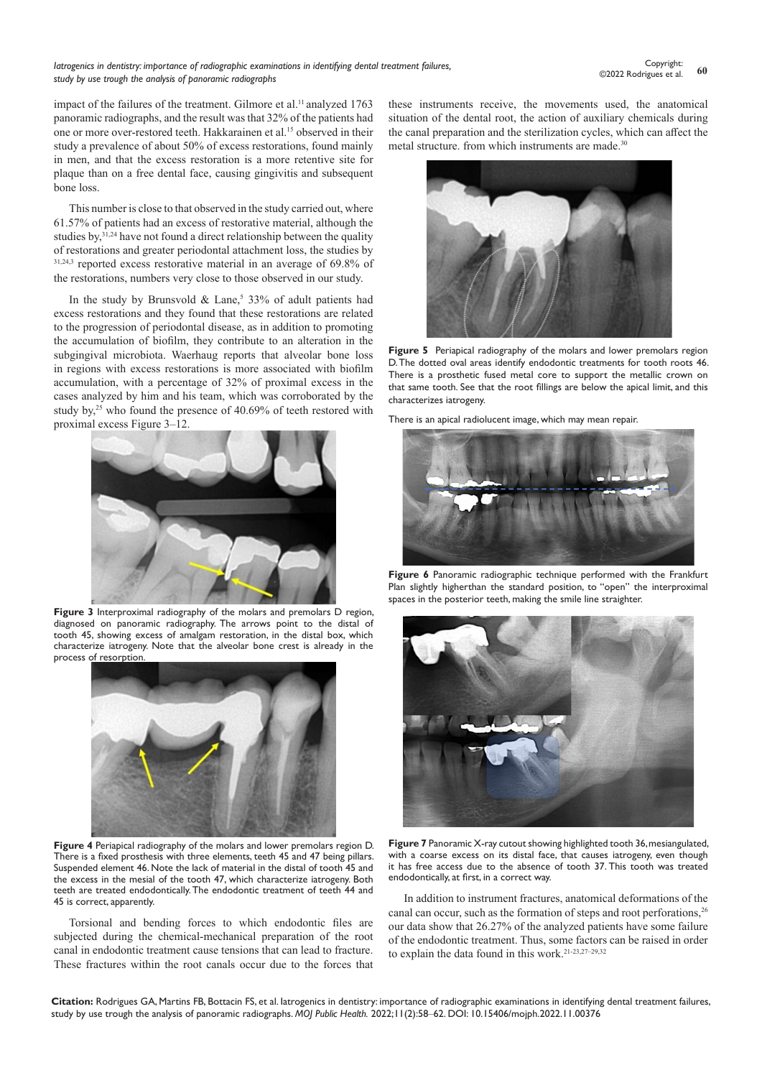impact of the failures of the treatment. Gilmore et al.<sup>11</sup> analyzed 1763 panoramic radiographs, and the result was that 32% of the patients had one or more over-restored teeth. Hakkarainen et al.15 observed in their study a prevalence of about 50% of excess restorations, found mainly in men, and that the excess restoration is a more retentive site for plaque than on a free dental face, causing gingivitis and subsequent bone loss.

This number is close to that observed in the study carried out, where 61.57% of patients had an excess of restorative material, although the studies by,  $3^{1,24}$  have not found a direct relationship between the quality of restorations and greater periodontal attachment loss, the studies by 31,24,3 reported excess restorative material in an average of 69.8% of the restorations, numbers very close to those observed in our study.

In the study by Brunsvold & Lane,<sup>5</sup> 33% of adult patients had excess restorations and they found that these restorations are related to the progression of periodontal disease, as in addition to promoting the accumulation of biofilm, they contribute to an alteration in the subgingival microbiota. Waerhaug reports that alveolar bone loss in regions with excess restorations is more associated with biofilm accumulation, with a percentage of 32% of proximal excess in the cases analyzed by him and his team, which was corroborated by the study by,<sup>25</sup> who found the presence of  $40.69\%$  of teeth restored with proximal excess Figure 3–12.



Figure 3 Interproximal radiography of the molars and premolars D region, diagnosed on panoramic radiography. The arrows point to the distal of tooth 45, showing excess of amalgam restoration, in the distal box, which characterize iatrogeny. Note that the alveolar bone crest is already in the process of resorption.



**Figure 4** Periapical radiography of the molars and lower premolars region D. There is a fixed prosthesis with three elements, teeth 45 and 47 being pillars. Suspended element 46. Note the lack of material in the distal of tooth 45 and the excess in the mesial of the tooth 47, which characterize iatrogeny. Both teeth are treated endodontically. The endodontic treatment of teeth 44 and 45 is correct, apparently.

Torsional and bending forces to which endodontic files are subjected during the chemical-mechanical preparation of the root canal in endodontic treatment cause tensions that can lead to fracture. These fractures within the root canals occur due to the forces that

these instruments receive, the movements used, the anatomical situation of the dental root, the action of auxiliary chemicals during the canal preparation and the sterilization cycles, which can affect the metal structure. from which instruments are made.<sup>30</sup>



**Figure 5** Periapical radiography of the molars and lower premolars region D. The dotted oval areas identify endodontic treatments for tooth roots 46. There is a prosthetic fused metal core to support the metallic crown on that same tooth. See that the root fillings are below the apical limit, and this characterizes iatrogeny.

There is an apical radiolucent image, which may mean repair.



**Figure 6** Panoramic radiographic technique performed with the Frankfurt Plan slightly higherthan the standard position, to "open" the interproximal spaces in the posterior teeth, making the smile line straighter.



**Figure 7** Panoramic X-ray cutout showing highlighted tooth 36, mesiangulated, with a coarse excess on its distal face, that causes iatrogeny, even though it has free access due to the absence of tooth 37. This tooth was treated endodontically, at first, in a correct way.

In addition to instrument fractures, anatomical deformations of the canal can occur, such as the formation of steps and root perforations,<sup>26</sup> our data show that 26.27% of the analyzed patients have some failure of the endodontic treatment. Thus, some factors can be raised in order to explain the data found in this work.21-23,27–29,32

**Citation:** Rodrigues GA, Martins FB, Bottacin FS, et al. Iatrogenics in dentistry: importance of radiographic examinations in identifying dental treatment failures, study by use trough the analysis of panoramic radiographs. *MOJ Public Health.* 2022;11(2):58‒62. DOI: [10.15406/mojph.2022.11.00376](https://doi.org/10.15406/mojph.2022.11.00376)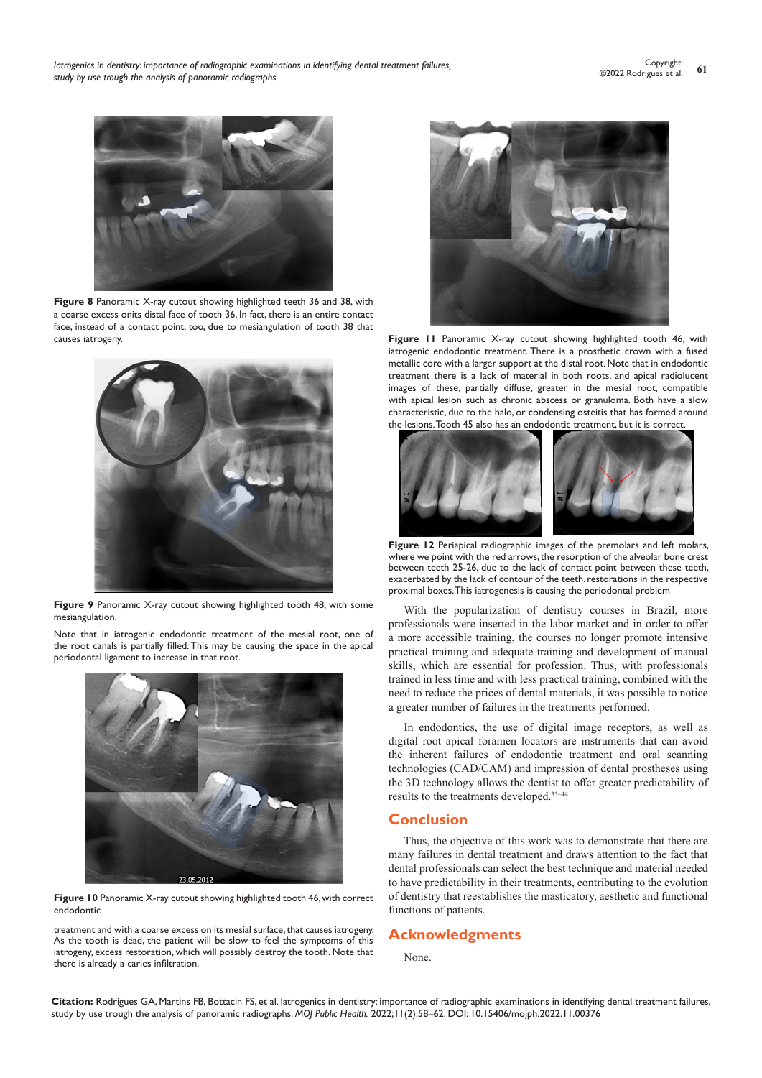

**Figure 8** Panoramic X-ray cutout showing highlighted teeth 36 and 38, with a coarse excess onits distal face of tooth 36. In fact, there is an entire contact face, instead of a contact point, too, due to mesiangulation of tooth 38 that causes iatrogeny.



**Figure 9** Panoramic X-ray cutout showing highlighted tooth 48, with some mesiangulation.

Note that in iatrogenic endodontic treatment of the mesial root, one of the root canals is partially filled. This may be causing the space in the apical periodontal ligament to increase in that root.



**Figure 10** Panoramic X-ray cutout showing highlighted tooth 46, with correct endodontic

treatment and with a coarse excess on its mesial surface, that causes iatrogeny. As the tooth is dead, the patient will be slow to feel the symptoms of this iatrogeny, excess restoration, which will possibly destroy the tooth. Note that there is already a caries infiltration.



**Figure 11** Panoramic X-ray cutout showing highlighted tooth 46, with iatrogenic endodontic treatment. There is a prosthetic crown with a fused metallic core with a larger support at the distal root. Note that in endodontic treatment there is a lack of material in both roots, and apical radiolucent images of these, partially diffuse, greater in the mesial root, compatible with apical lesion such as chronic abscess or granuloma. Both have a slow characteristic, due to the halo, or condensing osteitis that has formed around the lesions. Tooth 45 also has an endodontic treatment, but it is correct.



**Figure 12** Periapical radiographic images of the premolars and left molars, where we point with the red arrows, the resorption of the alveolar bone crest between teeth 25-26, due to the lack of contact point between these teeth, exacerbated by the lack of contour of the teeth. restorations in the respective proximal boxes. This iatrogenesis is causing the periodontal problem

With the popularization of dentistry courses in Brazil, more professionals were inserted in the labor market and in order to offer a more accessible training, the courses no longer promote intensive practical training and adequate training and development of manual skills, which are essential for profession. Thus, with professionals trained in less time and with less practical training, combined with the need to reduce the prices of dental materials, it was possible to notice a greater number of failures in the treatments performed.

In endodontics, the use of digital image receptors, as well as digital root apical foramen locators are instruments that can avoid the inherent failures of endodontic treatment and oral scanning technologies (CAD/CAM) and impression of dental prostheses using the 3D technology allows the dentist to offer greater predictability of results to the treatments developed.33–44

# **Conclusion**

Thus, the objective of this work was to demonstrate that there are many failures in dental treatment and draws attention to the fact that dental professionals can select the best technique and material needed to have predictability in their treatments, contributing to the evolution of dentistry that reestablishes the masticatory, aesthetic and functional functions of patients.

# **Acknowledgments**

None.

**Citation:** Rodrigues GA, Martins FB, Bottacin FS, et al. Iatrogenics in dentistry: importance of radiographic examinations in identifying dental treatment failures, study by use trough the analysis of panoramic radiographs. *MOJ Public Health.* 2022;11(2):58‒62. DOI: [10.15406/mojph.2022.11.00376](https://doi.org/10.15406/mojph.2022.11.00376)